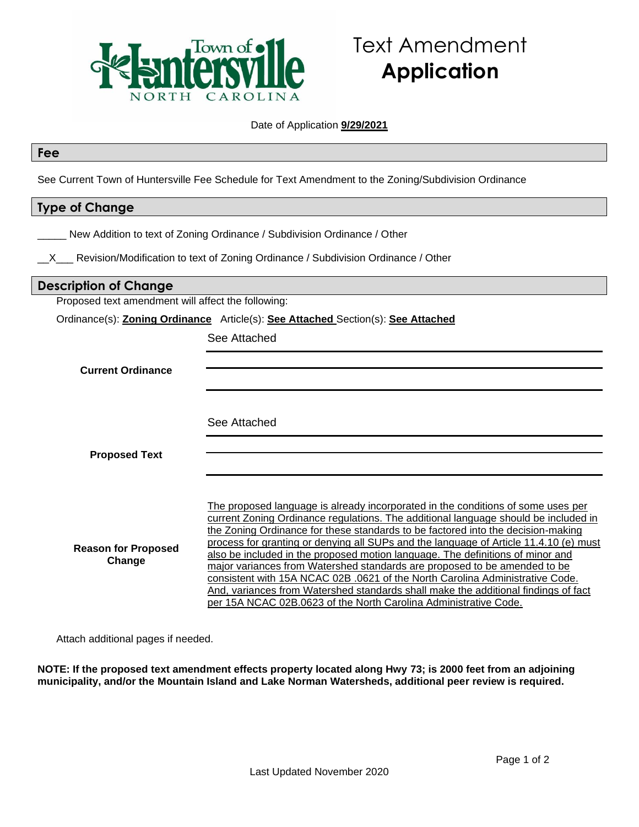

# Text Amendment **Application**

## Date of Application **9/29/2021**

#### **Fee**

See Current Town of Huntersville Fee Schedule for Text Amendment to the Zoning/Subdivision Ordinance

# **Type of Change**

| New Addition to text of Zoning Ordinance / Subdivision Ordinance / Other |  |  |  |
|--------------------------------------------------------------------------|--|--|--|
|--------------------------------------------------------------------------|--|--|--|

 $X$  Revision/Modification to text of Zoning Ordinance / Subdivision Ordinance / Other

# **Description of Change**

Proposed text amendment will affect the following:

Ordinance(s): **Zoning Ordinance** Article(s): **See Attached** Section(s): **See Attached**

See Attached

|  | <b>Current Ordinance</b> |
|--|--------------------------|
|--|--------------------------|

See Attached

**Proposed Text**

**Reason for Proposed Change** The proposed language is already incorporated in the conditions of some uses per current Zoning Ordinance regulations. The additional language should be included in the Zoning Ordinance for these standards to be factored into the decision-making process for granting or denying all SUPs and the language of Article 11.4.10 (e) must also be included in the proposed motion language. The definitions of minor and major variances from Watershed standards are proposed to be amended to be consistent with 15A NCAC 02B .0621 of the North Carolina Administrative Code. And, variances from Watershed standards shall make the additional findings of fact per 15A NCAC 02B.0623 of the North Carolina Administrative Code.

Attach additional pages if needed.

**NOTE: If the proposed text amendment effects property located along Hwy 73; is 2000 feet from an adjoining municipality, and/or the Mountain Island and Lake Norman Watersheds, additional peer review is required.**